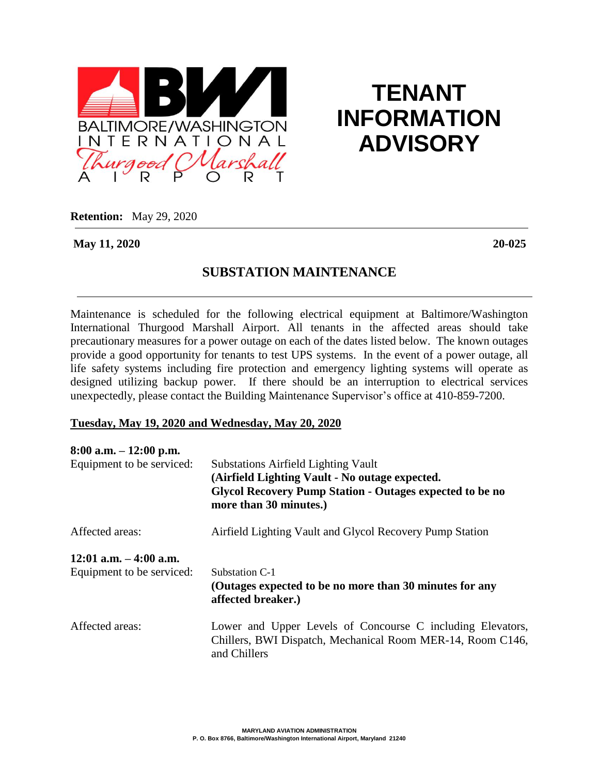

## **TENANT INFORMATION ADVISORY**

**Retention:** May 29, 2020

**May 11, 2020 20-025**

## **SUBSTATION MAINTENANCE**

Maintenance is scheduled for the following electrical equipment at Baltimore/Washington International Thurgood Marshall Airport. All tenants in the affected areas should take precautionary measures for a power outage on each of the dates listed below. The known outages provide a good opportunity for tenants to test UPS systems. In the event of a power outage, all life safety systems including fire protection and emergency lighting systems will operate as designed utilizing backup power. If there should be an interruption to electrical services unexpectedly, please contact the Building Maintenance Supervisor's office at 410-859-7200.

## **Tuesday, May 19, 2020 and Wednesday, May 20, 2020**

| $8:00$ a.m. $-12:00$ p.m.<br>Equipment to be serviced: | <b>Substations Airfield Lighting Vault</b><br>(Airfield Lighting Vault - No outage expected.<br><b>Glycol Recovery Pump Station - Outages expected to be no</b><br>more than 30 minutes.) |
|--------------------------------------------------------|-------------------------------------------------------------------------------------------------------------------------------------------------------------------------------------------|
| Affected areas:                                        | Airfield Lighting Vault and Glycol Recovery Pump Station                                                                                                                                  |
| $12:01$ a.m. $-4:00$ a.m.<br>Equipment to be serviced: | Substation C-1<br>(Outages expected to be no more than 30 minutes for any<br>affected breaker.)                                                                                           |
| Affected areas:                                        | Lower and Upper Levels of Concourse C including Elevators,<br>Chillers, BWI Dispatch, Mechanical Room MER-14, Room C146,<br>and Chillers                                                  |